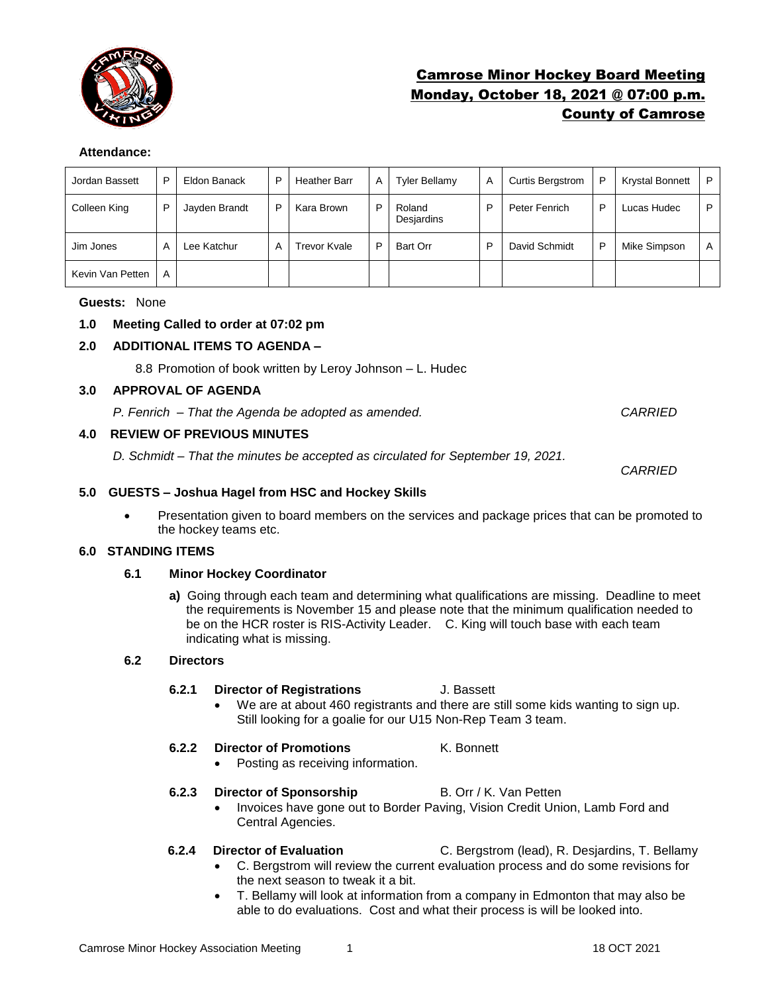

# Camrose Minor Hockey Board Meeting Monday, October 18, 2021 @ 07:00 p.m. County of Camrose

### **Attendance:**

| Jordan Bassett   | P | Eldon Banack  | P | <b>Heather Barr</b> | Α | <b>Tyler Bellamy</b> | A | <b>Curtis Bergstrom</b> | P | <b>Krystal Bonnett</b> | P |
|------------------|---|---------------|---|---------------------|---|----------------------|---|-------------------------|---|------------------------|---|
| Colleen King     | D | Jayden Brandt | P | Kara Brown          | P | Roland<br>Desjardins | P | Peter Fenrich           | P | Lucas Hudec            | P |
| Jim Jones        | A | Lee Katchur   | Α | <b>Trevor Kvale</b> | P | Bart Orr             | P | David Schmidt           | P | Mike Simpson           | A |
| Kevin Van Petten | A |               |   |                     |   |                      |   |                         |   |                        |   |

### **Guests:** None

## **1.0 Meeting Called to order at 07:02 pm**

## **2.0 ADDITIONAL ITEMS TO AGENDA –**

8.8 Promotion of book written by Leroy Johnson – L. Hudec

#### **3.0 APPROVAL OF AGENDA**

*P. Fenrich – That the Agenda be adopted as amended. CARRIED*

### **4.0 REVIEW OF PREVIOUS MINUTES**

*D. Schmidt – That the minutes be accepted as circulated for September 19, 2021.* 

### **5.0 GUESTS – Joshua Hagel from HSC and Hockey Skills**

• Presentation given to board members on the services and package prices that can be promoted to the hockey teams etc.

## **6.0 STANDING ITEMS**

### **6.1 Minor Hockey Coordinator**

**a)** Going through each team and determining what qualifications are missing. Deadline to meet the requirements is November 15 and please note that the minimum qualification needed to be on the HCR roster is RIS-Activity Leader. C. King will touch base with each team indicating what is missing.

#### **6.2 Directors**

### **6.2.1 Director of Registrations** J. Bassett

• We are at about 460 registrants and there are still some kids wanting to sign up. Still looking for a goalie for our U15 Non-Rep Team 3 team.

### **6.2.2 Director of Promotions** K. Bonnett

• Posting as receiving information.

#### **6.2.3 Director of Sponsorship B. Orr / K. Van Petten**

- Invoices have gone out to Border Paving, Vision Credit Union, Lamb Ford and Central Agencies.
- 
- **6.2.4 Director of Evaluation** C. Bergstrom (lead), R. Desjardins, T. Bellamy
	- C. Bergstrom will review the current evaluation process and do some revisions for the next season to tweak it a bit.
	- T. Bellamy will look at information from a company in Edmonton that may also be able to do evaluations. Cost and what their process is will be looked into.

## *CARRIED*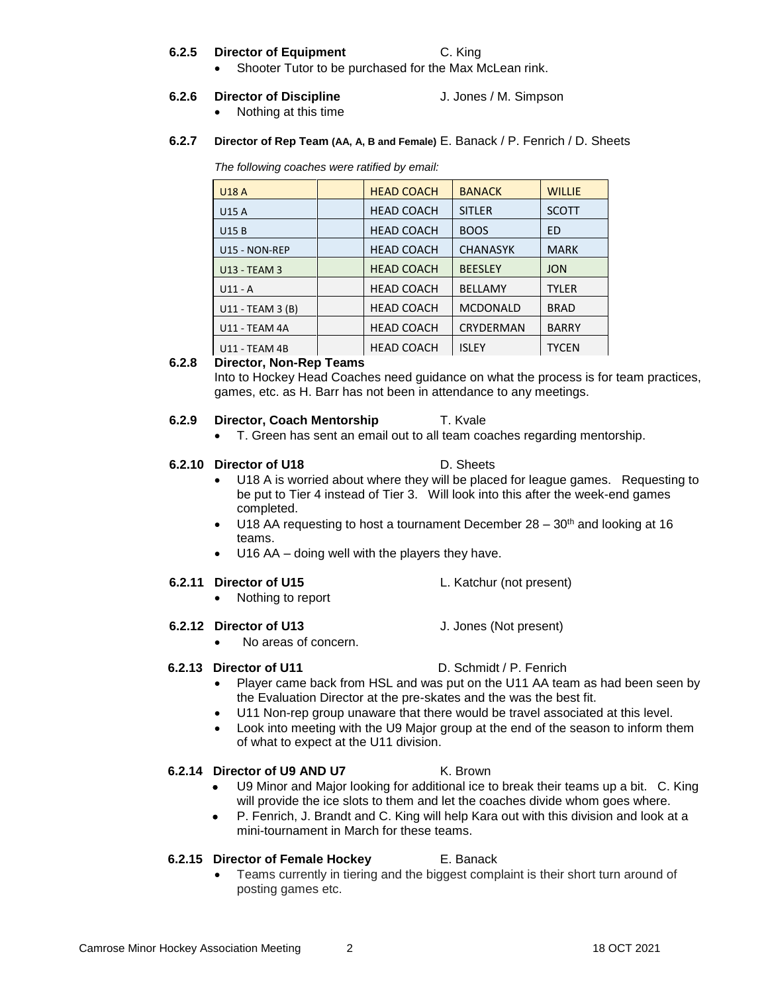### **6.2.5 Director of Equipment** C. King

• Shooter Tutor to be purchased for the Max McLean rink.

## **6.2.6 Director of Discipline** J. Jones / M. Simpson

- Nothing at this time
- **6.2.7 Director of Rep Team (AA, A, B and Female)** E. Banack / P. Fenrich / D. Sheets

*The following coaches were ratified by email:*

| <b>U18 A</b>         | <b>HEAD COACH</b> | <b>BANACK</b>   | <b>WILLIE</b> |
|----------------------|-------------------|-----------------|---------------|
| <b>U15 A</b>         | <b>HEAD COACH</b> | <b>SITLER</b>   | <b>SCOTT</b>  |
| <b>U15B</b>          | <b>HEAD COACH</b> | <b>BOOS</b>     | ED            |
| U15 - NON-REP        | <b>HEAD COACH</b> | <b>CHANASYK</b> | <b>MARK</b>   |
| <b>U13 - TEAM 3</b>  | <b>HEAD COACH</b> | <b>BEESLEY</b>  | <b>JON</b>    |
| $U11 - A$            | <b>HEAD COACH</b> | <b>BELLAMY</b>  | <b>TYLER</b>  |
| U11 - TEAM 3 (B)     | <b>HEAD COACH</b> | <b>MCDONALD</b> | <b>BRAD</b>   |
| <b>U11 - TEAM 4A</b> | <b>HEAD COACH</b> | CRYDERMAN       | <b>BARRY</b>  |
| <b>U11 - TEAM 4B</b> | <b>HEAD COACH</b> | <b>ISLEY</b>    | <b>TYCEN</b>  |

## **6.2.8 Director, Non-Rep Teams**

Into to Hockey Head Coaches need guidance on what the process is for team practices, games, etc. as H. Barr has not been in attendance to any meetings.

## **6.2.9 Director, Coach Mentorship T. Kvale**

• T. Green has sent an email out to all team coaches regarding mentorship.

## **6.2.10 Director of U18** D. Sheets

- U18 A is worried about where they will be placed for league games. Requesting to be put to Tier 4 instead of Tier 3. Will look into this after the week-end games completed.
- U18 AA requesting to host a tournament December  $28 30<sup>th</sup>$  and looking at 16 teams.
- U16 AA doing well with the players they have.

## **6.2.11 Director of U15** L. Katchur (not present)

• Nothing to report

## **6.2.12 Director of U13** J. Jones (Not present)

• No areas of concern.

## **6.2.13 Director of U11** D. Schmidt / P. Fenrich

- Player came back from HSL and was put on the U11 AA team as had been seen by the Evaluation Director at the pre-skates and the was the best fit.
- U11 Non-rep group unaware that there would be travel associated at this level.
- Look into meeting with the U9 Major group at the end of the season to inform them of what to expect at the U11 division.

## **6.2.14 Director of U9 AND U7** K. Brown

- U9 Minor and Major looking for additional ice to break their teams up a bit. C. King will provide the ice slots to them and let the coaches divide whom goes where.
- P. Fenrich, J. Brandt and C. King will help Kara out with this division and look at a mini-tournament in March for these teams.

### **6.2.15 Director of Female Hockey** E. Banack

• Teams currently in tiering and the biggest complaint is their short turn around of posting games etc.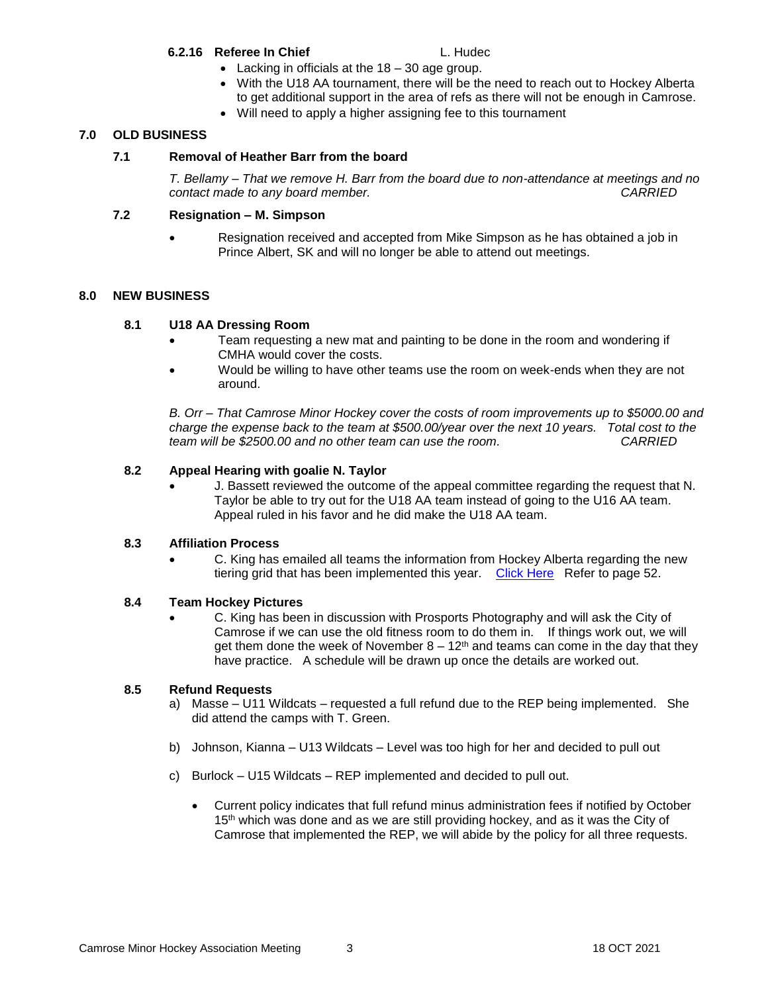### **6.2.16 Referee In Chief L. Hudec**

- Lacking in officials at the 18 30 age group.
- With the U18 AA tournament, there will be the need to reach out to Hockey Alberta to get additional support in the area of refs as there will not be enough in Camrose.
- Will need to apply a higher assigning fee to this tournament

## **7.0 OLD BUSINESS**

## **7.1 Removal of Heather Barr from the board**

*T. Bellamy – That we remove H. Barr from the board due to non-attendance at meetings and no contact made to any board member. CARRIED*

## **7.2 Resignation – M. Simpson**

• Resignation received and accepted from Mike Simpson as he has obtained a job in Prince Albert, SK and will no longer be able to attend out meetings.

### **8.0 NEW BUSINESS**

## **8.1 U18 AA Dressing Room**

- Team requesting a new mat and painting to be done in the room and wondering if CMHA would cover the costs.
- Would be willing to have other teams use the room on week-ends when they are not around.

*B. Orr – That Camrose Minor Hockey cover the costs of room improvements up to \$5000.00 and charge the expense back to the team at \$500.00/year over the next 10 years. Total cost to the team will be \$2500.00 and no other team can use the room. CARRIED*

## **8.2 Appeal Hearing with goalie N. Taylor**

J. Bassett reviewed the outcome of the appeal committee regarding the request that N. Taylor be able to try out for the U18 AA team instead of going to the U16 AA team. Appeal ruled in his favor and he did make the U18 AA team.

### **8.3 Affiliation Process**

• C. King has emailed all teams the information from Hockey Alberta regarding the new tiering grid that has been implemented this year. [Click Here](https://www.hockeyalberta.ca/uploads/source/Bylaws_%26_Policys/SectionBMinorHockey.pdf) Refer to page 52.

### **8.4 Team Hockey Pictures**

• C. King has been in discussion with Prosports Photography and will ask the City of Camrose if we can use the old fitness room to do them in. If things work out, we will get them done the week of November  $8 - 12<sup>th</sup>$  and teams can come in the day that they have practice. A schedule will be drawn up once the details are worked out.

### **8.5 Refund Requests**

- a) Masse U11 Wildcats requested a full refund due to the REP being implemented. She did attend the camps with T. Green.
- b) Johnson, Kianna U13 Wildcats Level was too high for her and decided to pull out
- c) Burlock U15 Wildcats REP implemented and decided to pull out.
	- Current policy indicates that full refund minus administration fees if notified by October 15<sup>th</sup> which was done and as we are still providing hockey, and as it was the City of Camrose that implemented the REP, we will abide by the policy for all three requests.